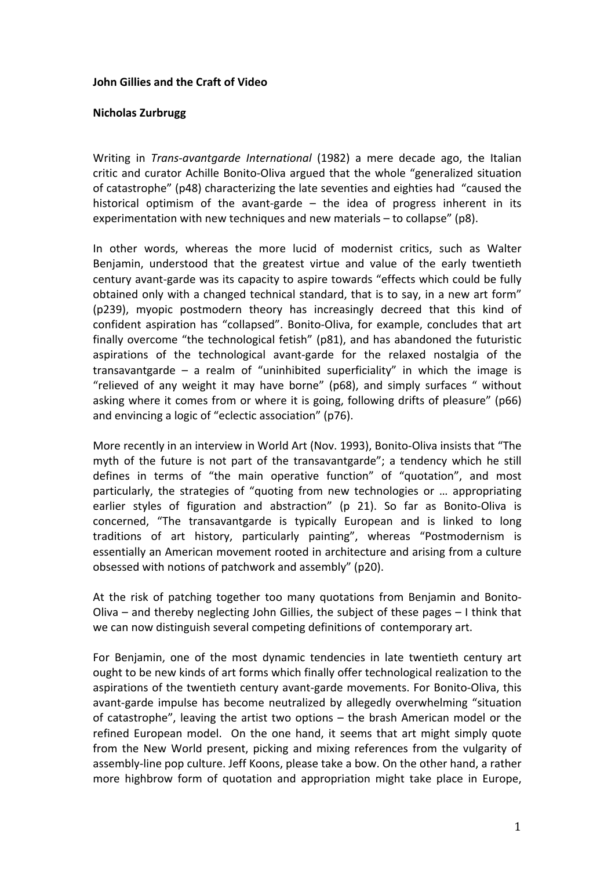## **John Gillies and the Craft of Video**

## **Nicholas%Zurbrugg**

Writing in *Trans-avantgarde International* (1982) a mere decade ago, the Italian critic and curator Achille Bonito-Oliva argued that the whole "generalized situation of catastrophe" (p48) characterizing the late seventies and eighties had "caused the historical optimism of the avant-garde  $-$  the idea of progress inherent in its experimentation with new techniques and new materials  $-$  to collapse" (p8).

In other words, whereas the more lucid of modernist critics, such as Walter Benjamin, understood that the greatest virtue and value of the early twentieth century avant-garde was its capacity to aspire towards "effects which could be fully obtained only with a changed technical standard, that is to say, in a new art form" ( $p239$ ), myopic postmodern theory has increasingly decreed that this kind of confident aspiration has "collapsed". Bonito-Oliva, for example, concludes that art finally overcome "the technological fetish" (p81), and has abandoned the futuristic aspirations of the technological avant-garde for the relaxed nostalgia of the transavantgarde – a realm of "uninhibited superficiality" in which the image is "relieved of any weight it may have borne" (p68), and simply surfaces " without asking where it comes from or where it is going, following drifts of pleasure" (p66) and envincing a logic of "eclectic association" (p76).

More recently in an interview in World Art (Nov. 1993), Bonito-Oliva insists that "The myth of the future is not part of the transavantgarde"; a tendency which he still defines in terms of "the main operative function" of "quotation", and most particularly, the strategies of "quoting from new technologies or ... appropriating earlier styles of figuration and abstraction" (p 21). So far as Bonito-Oliva is concerned, "The transavantgarde is typically European and is linked to long traditions of art history, particularly painting", whereas "Postmodernism is essentially an American movement rooted in architecture and arising from a culture obsessed with notions of patchwork and assembly" (p20).

At the risk of patching together too many quotations from Benjamin and Bonito-Oliva – and thereby neglecting John Gillies, the subject of these pages – I think that we can now distinguish several competing definitions of contemporary art.

For Benjamin, one of the most dynamic tendencies in late twentieth century art ought to be new kinds of art forms which finally offer technological realization to the aspirations of the twentieth century avant-garde movements. For Bonito-Oliva, this avant-garde impulse has become neutralized by allegedly overwhelming "situation of catastrophe", leaving the artist two options  $-$  the brash American model or the refined European model. On the one hand, it seems that art might simply quote from the New World present, picking and mixing references from the vulgarity of assembly-line pop culture. Jeff Koons, please take a bow. On the other hand, a rather more highbrow form of quotation and appropriation might take place in Europe,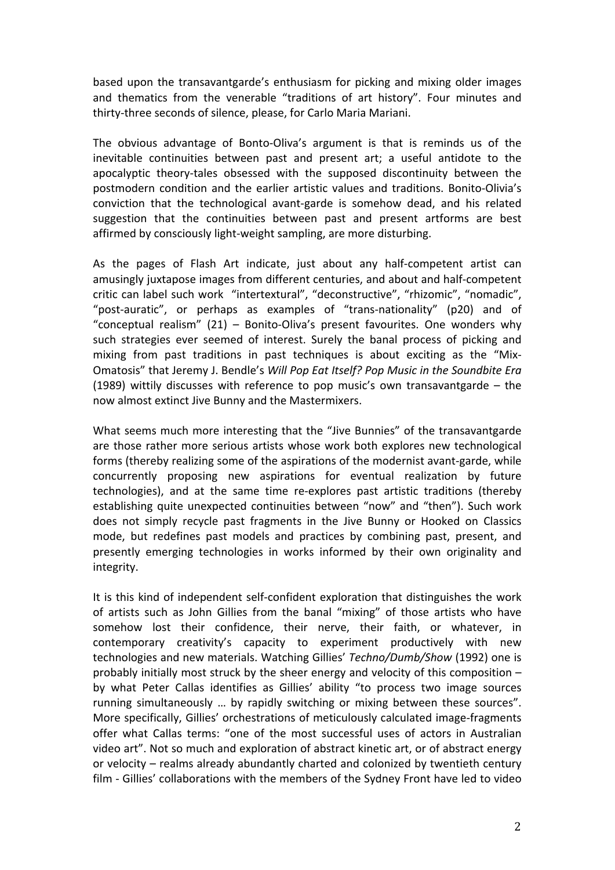based upon the transavantgarde's enthusiasm for picking and mixing older images and thematics from the venerable "traditions of art history". Four minutes and thirty-three seconds of silence, please, for Carlo Maria Mariani.

The obvious advantage of Bonto-Oliva's argument is that is reminds us of the inevitable continuities between past and present art; a useful antidote to the apocalyptic theory-tales obsessed with the supposed discontinuity between the postmodern condition and the earlier artistic values and traditions. Bonito-Olivia's conviction that the technological avant-garde is somehow dead, and his related suggestion that the continuities between past and present artforms are best affirmed by consciously light-weight sampling, are more disturbing.

As the pages of Flash Art indicate, just about any half-competent artist can amusingly juxtapose images from different centuries, and about and half-competent critic can label such work "intertextural", "deconstructive", "rhizomic", "nomadic", "post-auratic", or perhaps as examples of "trans-nationality" (p20) and of "conceptual realism"  $(21)$  – Bonito-Oliva's present favourites. One wonders why such strategies ever seemed of interest. Surely the banal process of picking and mixing from past traditions in past techniques is about exciting as the "Mix-Omatosis" that Jeremy J. Bendle's *Will Pop Eat Itself? Pop Music in the Soundbite Era* (1989) wittily discusses with reference to pop music's own transavantgarde  $-$  the now almost extinct Jive Bunny and the Mastermixers.

What seems much more interesting that the "Jive Bunnies" of the transavantgarde are those rather more serious artists whose work both explores new technological forms (thereby realizing some of the aspirations of the modernist avant-garde, while concurrently proposing new aspirations for eventual realization by future technologies), and at the same time re-explores past artistic traditions (thereby establishing quite unexpected continuities between "now" and "then"). Such work does not simply recycle past fragments in the Jive Bunny or Hooked on Classics mode, but redefines past models and practices by combining past, present, and presently emerging technologies in works informed by their own originality and integrity.

It is this kind of independent self-confident exploration that distinguishes the work of artists such as John Gillies from the banal "mixing" of those artists who have somehow lost their confidence, their nerve, their faith, or whatever, in contemporary creativity's capacity to experiment productively with new technologies and new materials. Watching Gillies' Techno/Dumb/Show (1992) one is probably initially most struck by the sheer energy and velocity of this composition  $$ by what Peter Callas identifies as Gillies' ability "to process two image sources running simultaneously ... by rapidly switching or mixing between these sources". More specifically, Gillies' orchestrations of meticulously calculated image-fragments offer what Callas terms: "one of the most successful uses of actors in Australian video art". Not so much and exploration of abstract kinetic art, or of abstract energy or velocity – realms already abundantly charted and colonized by twentieth century film - Gillies' collaborations with the members of the Sydney Front have led to video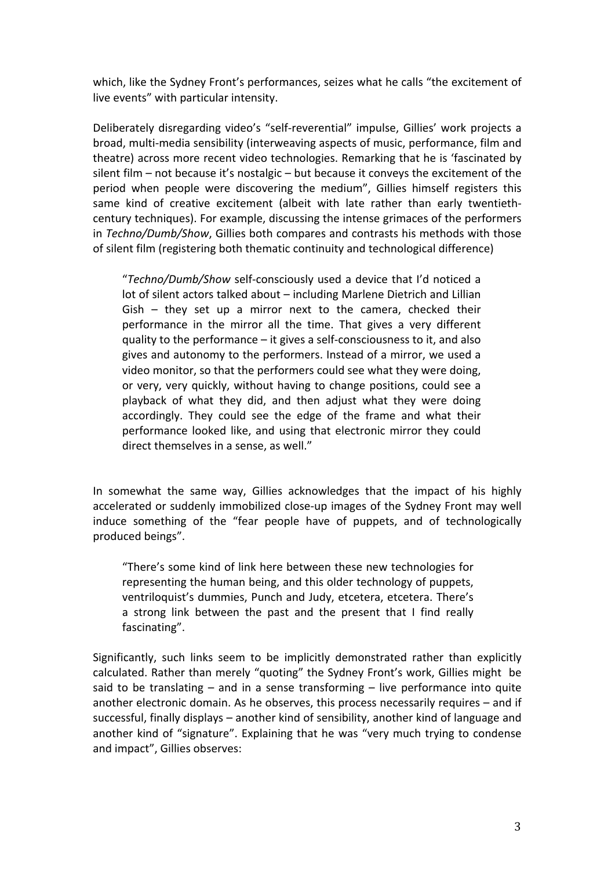which, like the Sydney Front's performances, seizes what he calls "the excitement of live events" with particular intensity.

Deliberately disregarding video's "self-reverential" impulse, Gillies' work projects a broad, multi-media sensibility (interweaving aspects of music, performance, film and theatre) across more recent video technologies. Remarking that he is 'fascinated by silent film – not because it's nostalgic – but because it conveys the excitement of the period when people were discovering the medium", Gillies himself registers this same kind of creative excitement (albeit with late rather than early twentiethcentury techniques). For example, discussing the intense grimaces of the performers in *Techno/Dumb/Show*, Gillies both compares and contrasts his methods with those of silent film (registering both thematic continuity and technological difference)

"Techno/Dumb/Show self-consciously used a device that I'd noticed a lot of silent actors talked about – including Marlene Dietrich and Lillian Gish – they set up a mirror next to the camera, checked their performance in the mirror all the time. That gives a very different quality to the performance – it gives a self-consciousness to it, and also gives and autonomy to the performers. Instead of a mirror, we used a video monitor, so that the performers could see what they were doing, or very, very quickly, without having to change positions, could see a playback of what they did, and then adjust what they were doing accordingly. They could see the edge of the frame and what their performance looked like, and using that electronic mirror they could direct themselves in a sense, as well."

In somewhat the same way, Gillies acknowledges that the impact of his highly accelerated or suddenly immobilized close-up images of the Sydney Front may well induce something of the "fear people have of puppets, and of technologically produced beings".

"There's some kind of link here between these new technologies for representing the human being, and this older technology of puppets, ventriloquist's dummies, Punch and Judy, etcetera, etcetera. There's a strong link between the past and the present that I find really fascinating".

Significantly, such links seem to be implicitly demonstrated rather than explicitly calculated. Rather than merely "quoting" the Sydney Front's work, Gillies might be said to be translating – and in a sense transforming – live performance into quite another electronic domain. As he observes, this process necessarily requires – and if successful, finally displays – another kind of sensibility, another kind of language and another kind of "signature". Explaining that he was "very much trying to condense and impact", Gillies observes: